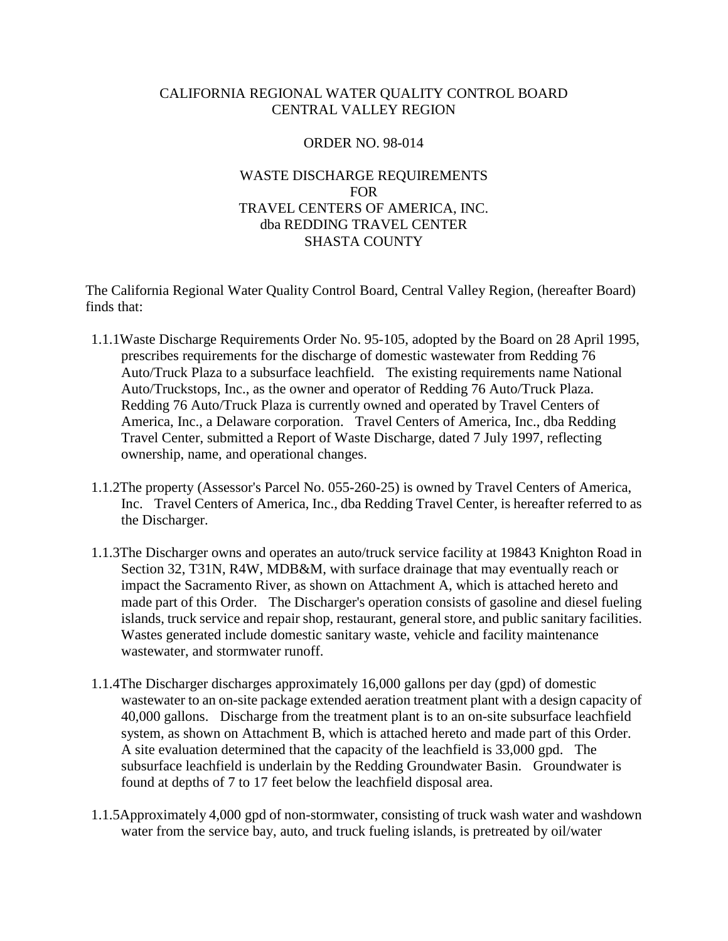## CALIFORNIA REGIONAL WATER QUALITY CONTROL BOARD CENTRAL VALLEY REGION

### ORDER NO. 98-014

# WASTE DISCHARGE REQUIREMENTS FOR TRAVEL CENTERS OF AMERICA, INC. dba REDDING TRAVEL CENTER SHASTA COUNTY

The California Regional Water Quality Control Board, Central Valley Region, (hereafter Board) finds that:

- 1.1.1Waste Discharge Requirements Order No. 95-105, adopted by the Board on 28 April 1995, prescribes requirements for the discharge of domestic wastewater from Redding 76 Auto/Truck Plaza to a subsurface leachfield. The existing requirements name National Auto/Truckstops, Inc., as the owner and operator of Redding 76 Auto/Truck Plaza. Redding 76 Auto/Truck Plaza is currently owned and operated by Travel Centers of America, Inc., a Delaware corporation. Travel Centers of America, Inc., dba Redding Travel Center, submitted a Report of Waste Discharge, dated 7 July 1997, reflecting ownership, name, and operational changes.
- 1.1.2The property (Assessor's Parcel No. 055-260-25) is owned by Travel Centers of America, Inc. Travel Centers of America, Inc., dba Redding Travel Center, is hereafter referred to as the Discharger.
- 1.1.3The Discharger owns and operates an auto/truck service facility at 19843 Knighton Road in Section 32, T31N, R4W, MDB&M, with surface drainage that may eventually reach or impact the Sacramento River, as shown on Attachment A, which is attached hereto and made part of this Order. The Discharger's operation consists of gasoline and diesel fueling islands, truck service and repair shop, restaurant, general store, and public sanitary facilities. Wastes generated include domestic sanitary waste, vehicle and facility maintenance wastewater, and stormwater runoff.
- 1.1.4The Discharger discharges approximately 16,000 gallons per day (gpd) of domestic wastewater to an on-site package extended aeration treatment plant with a design capacity of 40,000 gallons. Discharge from the treatment plant is to an on-site subsurface leachfield system, as shown on Attachment B, which is attached hereto and made part of this Order. A site evaluation determined that the capacity of the leachfield is 33,000 gpd. The subsurface leachfield is underlain by the Redding Groundwater Basin. Groundwater is found at depths of 7 to 17 feet below the leachfield disposal area.
- 1.1.5Approximately 4,000 gpd of non-stormwater, consisting of truck wash water and washdown water from the service bay, auto, and truck fueling islands, is pretreated by oil/water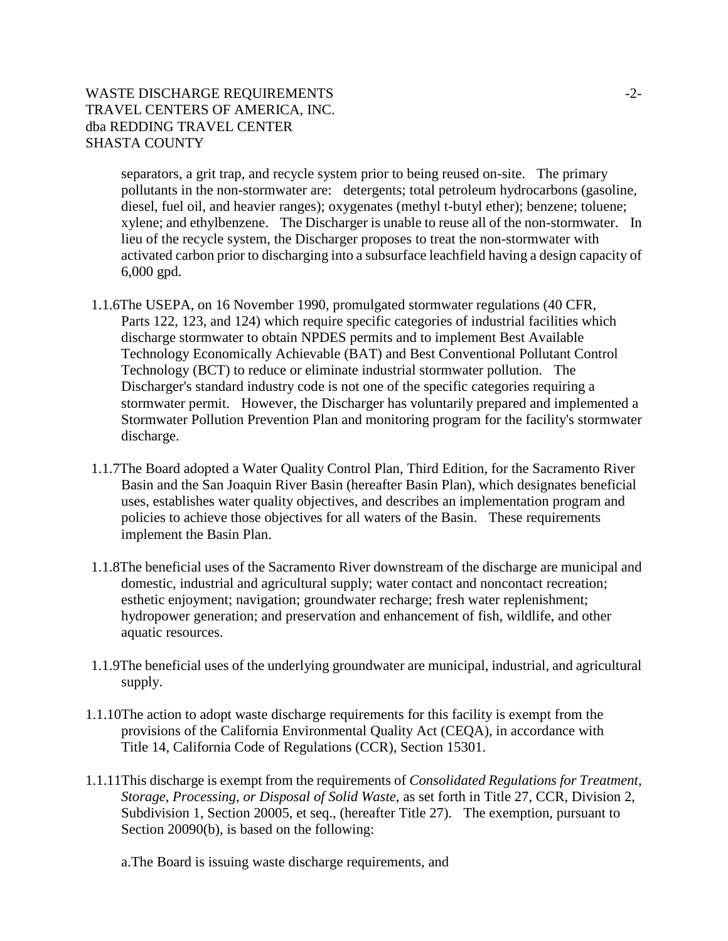# WASTE DISCHARGE REQUIREMENTS  $-2$ -TRAVEL CENTERS OF AMERICA, INC. dba REDDING TRAVEL CENTER SHASTA COUNTY

separators, a grit trap, and recycle system prior to being reused on-site. The primary pollutants in the non-stormwater are: detergents; total petroleum hydrocarbons (gasoline, diesel, fuel oil, and heavier ranges); oxygenates (methyl t-butyl ether); benzene; toluene; xylene; and ethylbenzene. The Discharger is unable to reuse all of the non-stormwater. In lieu of the recycle system, the Discharger proposes to treat the non-stormwater with activated carbon prior to discharging into a subsurface leachfield having a design capacity of 6,000 gpd.

- 1.1.6The USEPA, on 16 November 1990, promulgated stormwater regulations (40 CFR, Parts 122, 123, and 124) which require specific categories of industrial facilities which discharge stormwater to obtain NPDES permits and to implement Best Available Technology Economically Achievable (BAT) and Best Conventional Pollutant Control Technology (BCT) to reduce or eliminate industrial stormwater pollution. The Discharger's standard industry code is not one of the specific categories requiring a stormwater permit. However, the Discharger has voluntarily prepared and implemented a Stormwater Pollution Prevention Plan and monitoring program for the facility's stormwater discharge.
- 1.1.7The Board adopted a Water Quality Control Plan, Third Edition, for the Sacramento River Basin and the San Joaquin River Basin (hereafter Basin Plan), which designates beneficial uses, establishes water quality objectives, and describes an implementation program and policies to achieve those objectives for all waters of the Basin. These requirements implement the Basin Plan.
- 1.1.8The beneficial uses of the Sacramento River downstream of the discharge are municipal and domestic, industrial and agricultural supply; water contact and noncontact recreation; esthetic enjoyment; navigation; groundwater recharge; fresh water replenishment; hydropower generation; and preservation and enhancement of fish, wildlife, and other aquatic resources.
- 1.1.9The beneficial uses of the underlying groundwater are municipal, industrial, and agricultural supply.
- 1.1.10The action to adopt waste discharge requirements for this facility is exempt from the provisions of the California Environmental Quality Act (CEQA), in accordance with Title 14, California Code of Regulations (CCR), Section 15301.
- 1.1.11This discharge is exempt from the requirements of *Consolidated Regulations for Treatment, Storage, Processing, or Disposal of Solid Waste*, as set forth in Title 27, CCR, Division 2, Subdivision 1, Section 20005, et seq., (hereafter Title 27). The exemption, pursuant to Section 20090(b), is based on the following:

a.The Board is issuing waste discharge requirements, and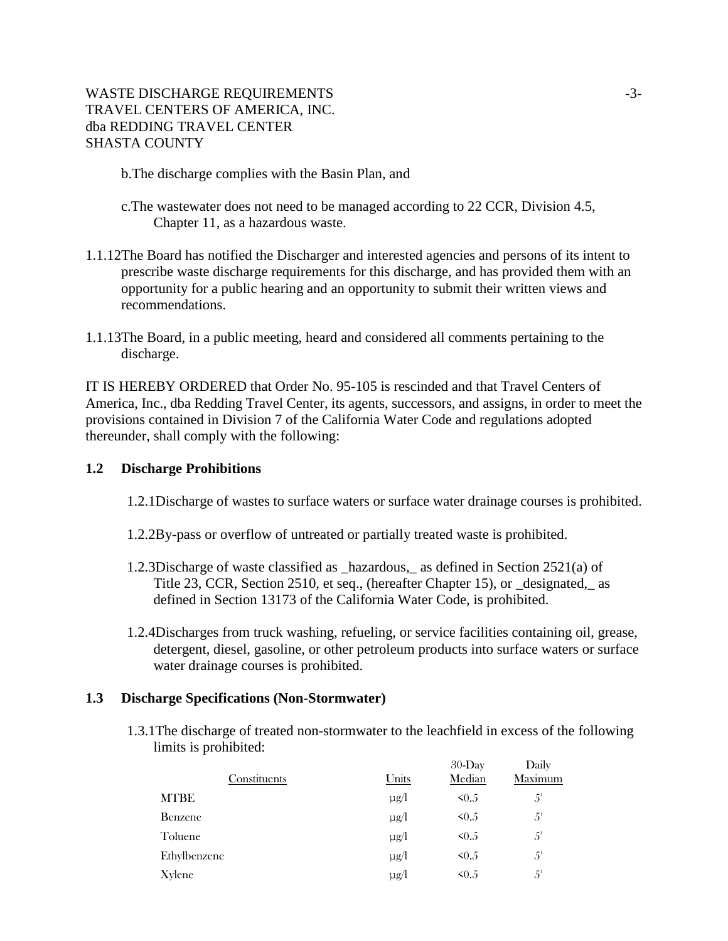# WASTE DISCHARGE REQUIREMENTS  $-3-$ TRAVEL CENTERS OF AMERICA, INC. dba REDDING TRAVEL CENTER SHASTA COUNTY

b.The discharge complies with the Basin Plan, and

- c.The wastewater does not need to be managed according to 22 CCR, Division 4.5, Chapter 11, as a hazardous waste.
- 1.1.12The Board has notified the Discharger and interested agencies and persons of its intent to prescribe waste discharge requirements for this discharge, and has provided them with an opportunity for a public hearing and an opportunity to submit their written views and recommendations.
- 1.1.13The Board, in a public meeting, heard and considered all comments pertaining to the discharge.

IT IS HEREBY ORDERED that Order No. 95-105 is rescinded and that Travel Centers of America, Inc., dba Redding Travel Center, its agents, successors, and assigns, in order to meet the provisions contained in Division 7 of the California Water Code and regulations adopted thereunder, shall comply with the following:

### **1.2 Discharge Prohibitions**

- 1.2.1Discharge of wastes to surface waters or surface water drainage courses is prohibited.
- 1.2.2By-pass or overflow of untreated or partially treated waste is prohibited.
- 1.2.3Discharge of waste classified as \_hazardous,\_ as defined in Section 2521(a) of Title 23, CCR, Section 2510, et seq., (hereafter Chapter 15), or \_designated,\_ as defined in Section 13173 of the California Water Code, is prohibited.
- 1.2.4Discharges from truck washing, refueling, or service facilities containing oil, grease, detergent, diesel, gasoline, or other petroleum products into surface waters or surface water drainage courses is prohibited.

### **1.3 Discharge Specifications (Non-Stormwater)**

1.3.1The discharge of treated non-stormwater to the leachfield in excess of the following limits is prohibited:  $30-D<sub>xx</sub>$  $\mathbf{D}$ 

| Constituents | Units     | 30-Day<br>Median | Daily<br>Maximum |
|--------------|-----------|------------------|------------------|
| <b>MTBE</b>  | $\mu$ g/l | $\leq 0.5$       | $5^{\circ}$      |
| Benzene      | $\mu$ g/l | $\leq 0.5$       | $5^{\circ}$      |
| Toluene      | $\mu$ g/l | $\leq 0.5$       | $5^{\circ}$      |
| Ethylbenzene | $\mu$ g/l | $\leq 0.5$       | $5^{\circ}$      |
| Xylene       | $\mu$ g/l | $\leq 0.5$       | 5 <sup>1</sup>   |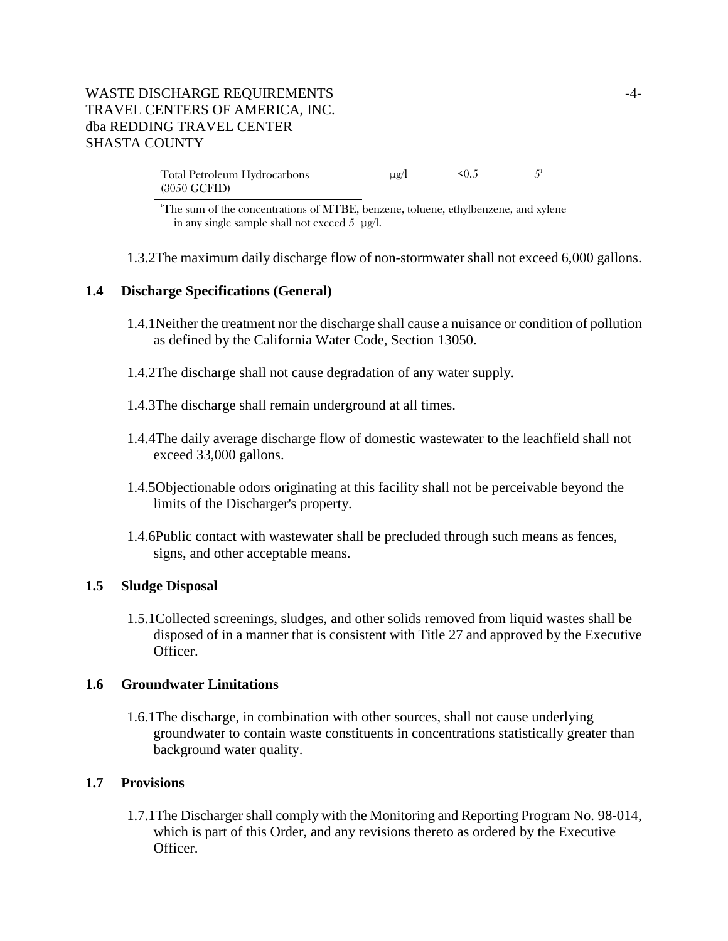# WASTE DISCHARGE REQUIREMENTS FOR A 4-TRAVEL CENTERS OF AMERICA, INC. dba REDDING TRAVEL CENTER SHASTA COUNTY

Total Petroleum Hydrocarbons (3050 GCFID)  $\mu$ g/l < 0.5 5<sup>1</sup>

1 The sum of the concentrations of MTBE, benzene, toluene, ethylbenzene, and xylene in any single sample shall not exceed  $5 \mu g/l$ .

1.3.2The maximum daily discharge flow of non-stormwater shall not exceed 6,000 gallons.

#### **1.4 Discharge Specifications (General)**

- 1.4.1Neither the treatment nor the discharge shall cause a nuisance or condition of pollution as defined by the California Water Code, Section 13050.
- 1.4.2The discharge shall not cause degradation of any water supply.
- 1.4.3The discharge shall remain underground at all times.
- 1.4.4The daily average discharge flow of domestic wastewater to the leachfield shall not exceed 33,000 gallons.
- 1.4.5Objectionable odors originating at this facility shall not be perceivable beyond the limits of the Discharger's property.
- 1.4.6Public contact with wastewater shall be precluded through such means as fences, signs, and other acceptable means.

#### **1.5 Sludge Disposal**

1.5.1Collected screenings, sludges, and other solids removed from liquid wastes shall be disposed of in a manner that is consistent with Title 27 and approved by the Executive Officer.

#### **1.6 Groundwater Limitations**

1.6.1The discharge, in combination with other sources, shall not cause underlying groundwater to contain waste constituents in concentrations statistically greater than background water quality.

#### **1.7 Provisions**

1.7.1The Discharger shall comply with the Monitoring and Reporting Program No. 98-014, which is part of this Order, and any revisions thereto as ordered by the Executive Officer.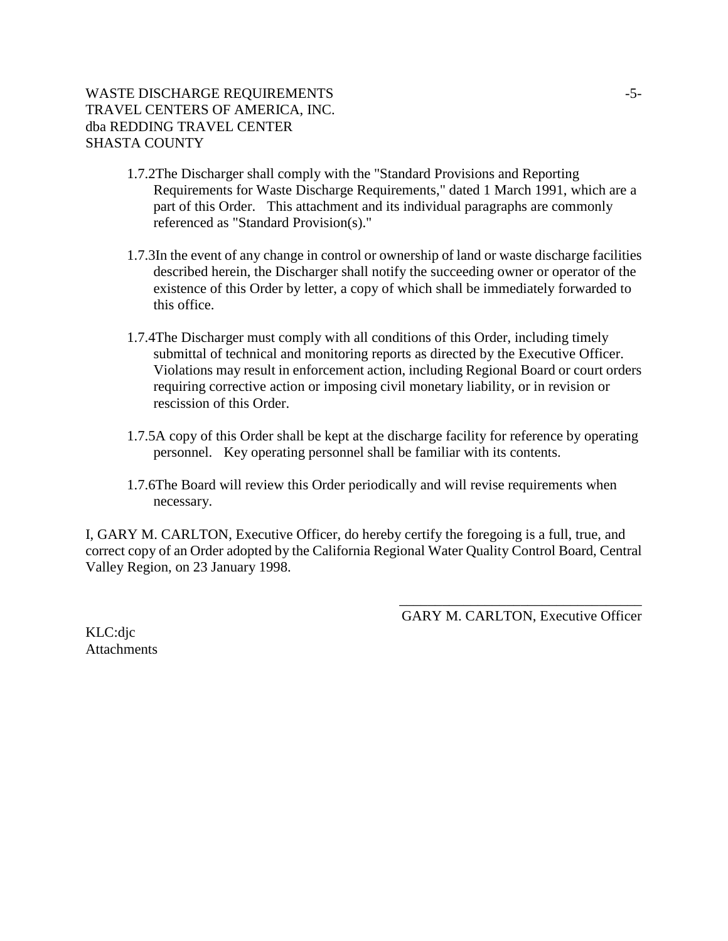# WASTE DISCHARGE REQUIREMENTS  $-5$ -TRAVEL CENTERS OF AMERICA, INC. dba REDDING TRAVEL CENTER SHASTA COUNTY

- 1.7.2The Discharger shall comply with the "Standard Provisions and Reporting Requirements for Waste Discharge Requirements," dated 1 March 1991, which are a part of this Order. This attachment and its individual paragraphs are commonly referenced as "Standard Provision(s)."
- 1.7.3In the event of any change in control or ownership of land or waste discharge facilities described herein, the Discharger shall notify the succeeding owner or operator of the existence of this Order by letter, a copy of which shall be immediately forwarded to this office.
- 1.7.4The Discharger must comply with all conditions of this Order, including timely submittal of technical and monitoring reports as directed by the Executive Officer. Violations may result in enforcement action, including Regional Board or court orders requiring corrective action or imposing civil monetary liability, or in revision or rescission of this Order.
- 1.7.5A copy of this Order shall be kept at the discharge facility for reference by operating personnel. Key operating personnel shall be familiar with its contents.
- 1.7.6The Board will review this Order periodically and will revise requirements when necessary.

I, GARY M. CARLTON, Executive Officer, do hereby certify the foregoing is a full, true, and correct copy of an Order adopted by the California Regional Water Quality Control Board, Central Valley Region, on 23 January 1998.

> \_\_\_\_\_\_\_\_\_\_\_\_\_\_\_\_\_\_\_\_\_\_\_\_\_\_\_\_\_\_\_\_\_\_ GARY M. CARLTON, Executive Officer

KLC:djc **Attachments**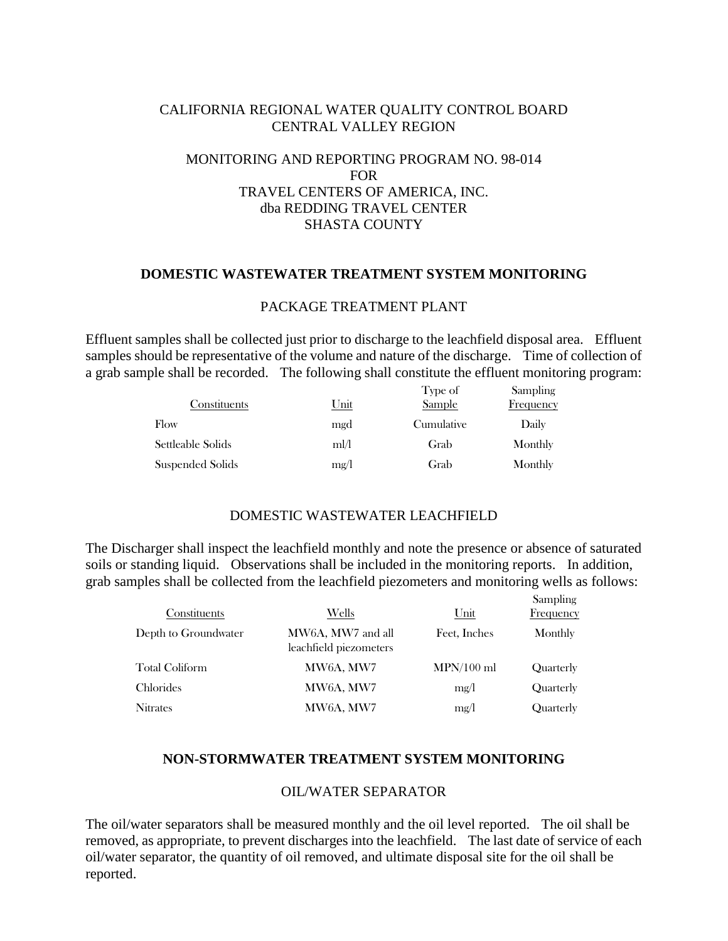## CALIFORNIA REGIONAL WATER QUALITY CONTROL BOARD CENTRAL VALLEY REGION

# MONITORING AND REPORTING PROGRAM NO. 98-014 FOR TRAVEL CENTERS OF AMERICA, INC. dba REDDING TRAVEL CENTER SHASTA COUNTY

### **DOMESTIC WASTEWATER TREATMENT SYSTEM MONITORING**

#### PACKAGE TREATMENT PLANT

Effluent samples shall be collected just prior to discharge to the leachfield disposal area. Effluent samples should be representative of the volume and nature of the discharge. Time of collection of a grab sample shall be recorded. The following shall constitute the effluent monitoring program:

| Constituents      | Unit | Type of<br>Sample | Sampling<br>Frequency |
|-------------------|------|-------------------|-----------------------|
| Flow              | mgd  | Cumulative        | Daily                 |
| Settleable Solids | ml/l | Grab              | Monthly               |
| Suspended Solids  | mg/l | Grab              | Monthly               |

#### DOMESTIC WASTEWATER LEACHFIELD

The Discharger shall inspect the leachfield monthly and note the presence or absence of saturated soils or standing liquid. Observations shall be included in the monitoring reports. In addition, grab samples shall be collected from the leachfield piezometers and monitoring wells as follows:

| Constituents         | Wells                                       | $_{\text{Unit}}$ | Sampling<br>Frequency |
|----------------------|---------------------------------------------|------------------|-----------------------|
| Depth to Groundwater | MW6A, MW7 and all<br>leachfield piezometers | Feet, Inches     | Monthly               |
| Total Coliform       | MW6A, MW7                                   | $MPN/100$ ml     | Quarterly             |
| Chlorides            | MW6A, MW7                                   | mg/l             | Quarterly             |
| <b>Nitrates</b>      | MW6A, MW7                                   | mg/l             | Quarterly             |

### **NON-STORMWATER TREATMENT SYSTEM MONITORING**

### OIL/WATER SEPARATOR

The oil/water separators shall be measured monthly and the oil level reported. The oil shall be removed, as appropriate, to prevent discharges into the leachfield. The last date of service of each oil/water separator, the quantity of oil removed, and ultimate disposal site for the oil shall be reported.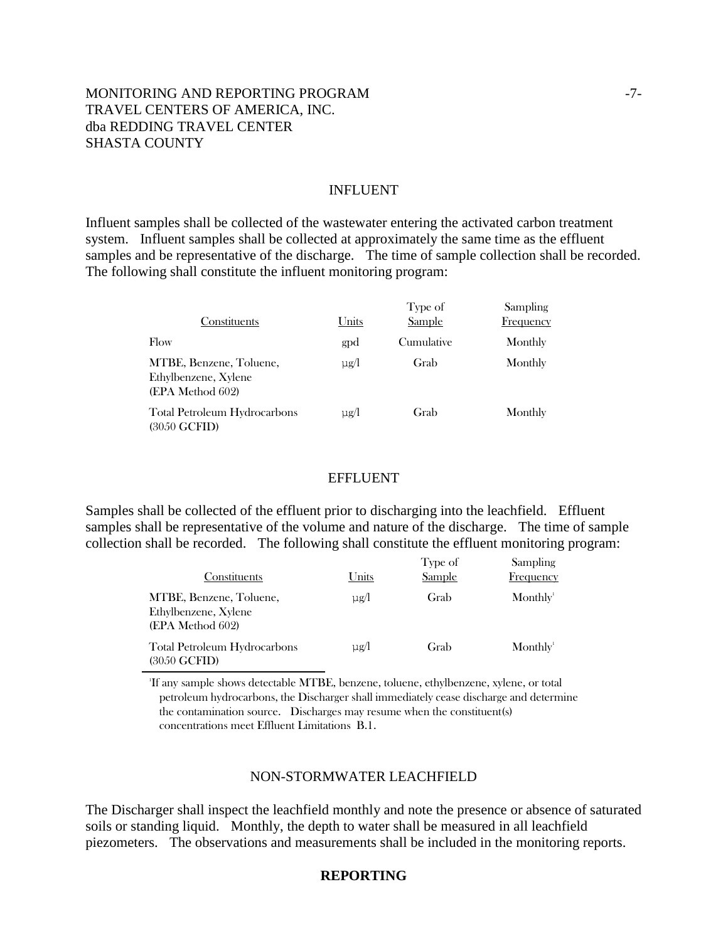# MONITORING AND REPORTING PROGRAM  $-7$ -TRAVEL CENTERS OF AMERICA, INC. dba REDDING TRAVEL CENTER SHASTA COUNTY

#### INFLUENT

Influent samples shall be collected of the wastewater entering the activated carbon treatment system. Influent samples shall be collected at approximately the same time as the effluent samples and be representative of the discharge. The time of sample collection shall be recorded. The following shall constitute the influent monitoring program:

| Constituents                                                        | <u>Units</u> | Type of<br><b>Sample</b> | <b>Sampling</b><br><b>Frequency</b> |
|---------------------------------------------------------------------|--------------|--------------------------|-------------------------------------|
| Flow                                                                | gpd          | Cumulative               | Monthly                             |
| MTBE, Benzene, Toluene,<br>Ethylbenzene, Xylene<br>(EPA Method 602) | $\mu$ g/l    | Grab                     | Monthly                             |
| Total Petroleum Hydrocarbons<br>(3050 GCFID)                        | $\mu$ g/l    | Grab                     | Monthly                             |

#### EFFLUENT

Samples shall be collected of the effluent prior to discharging into the leachfield. Effluent samples shall be representative of the volume and nature of the discharge. The time of sample collection shall be recorded. The following shall constitute the effluent monitoring program:

| Constituents                                                        | Units     | Type of<br><b>Sample</b> | Sampling<br>Frequency |
|---------------------------------------------------------------------|-----------|--------------------------|-----------------------|
| MTBE, Benzene, Toluene,<br>Ethylbenzene, Xylene<br>(EPA Method 602) | $\mu$ g/l | Grab                     | Monthly <sup>1</sup>  |
| <b>Total Petroleum Hydrocarbons</b><br>$(3050 \text{ GCFID})$       | $\mu$ g/l | Grab                     | Monthly <sup>1</sup>  |

1 If any sample shows detectable MTBE, benzene, toluene, ethylbenzene, xylene, or total petroleum hydrocarbons, the Discharger shall immediately cease discharge and determine the contamination source. Discharges may resume when the constituent(s) concentrations meet Effluent Limitations B.1.

#### NON-STORMWATER LEACHFIELD

The Discharger shall inspect the leachfield monthly and note the presence or absence of saturated soils or standing liquid. Monthly, the depth to water shall be measured in all leachfield piezometers. The observations and measurements shall be included in the monitoring reports.

### **REPORTING**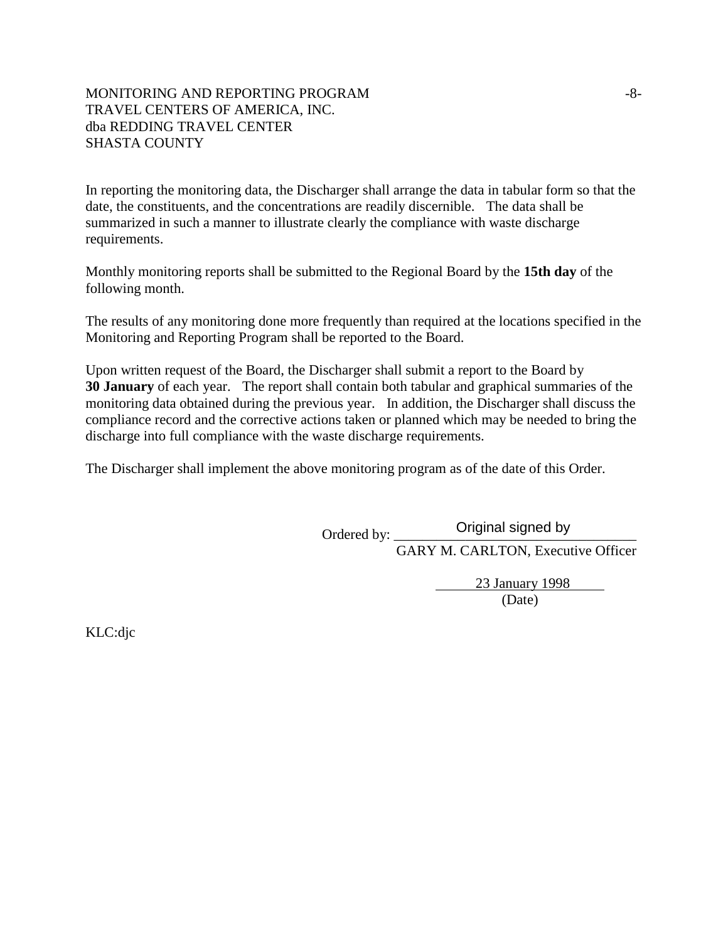## MONITORING AND REPORTING PROGRAM  $-8-$ TRAVEL CENTERS OF AMERICA, INC. dba REDDING TRAVEL CENTER SHASTA COUNTY

In reporting the monitoring data, the Discharger shall arrange the data in tabular form so that the date, the constituents, and the concentrations are readily discernible. The data shall be summarized in such a manner to illustrate clearly the compliance with waste discharge requirements.

Monthly monitoring reports shall be submitted to the Regional Board by the **15th day** of the following month.

The results of any monitoring done more frequently than required at the locations specified in the Monitoring and Reporting Program shall be reported to the Board.

Upon written request of the Board, the Discharger shall submit a report to the Board by **30 January** of each year. The report shall contain both tabular and graphical summaries of the monitoring data obtained during the previous year. In addition, the Discharger shall discuss the compliance record and the corrective actions taken or planned which may be needed to bring the discharge into full compliance with the waste discharge requirements.

The Discharger shall implement the above monitoring program as of the date of this Order.

Ordered by: \_ Original signed by

GARY M. CARLTON, Executive Officer

 23 January 1998 (Date)

KLC:djc